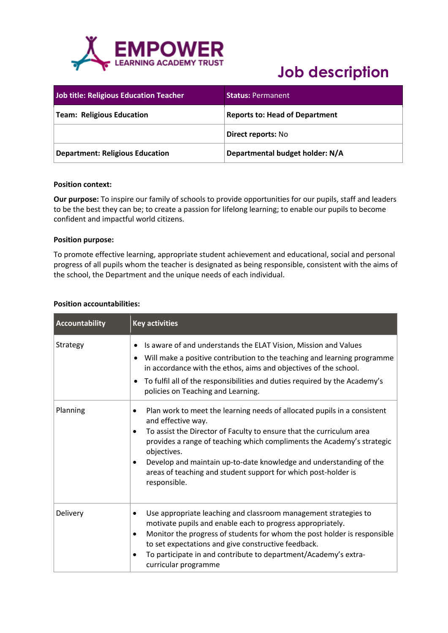

## **Job description**

| <b>Job title: Religious Education Teacher</b> | <b>Status: Permanent</b>              |
|-----------------------------------------------|---------------------------------------|
| Team: Religious Education                     | <b>Reports to: Head of Department</b> |
|                                               | <b>Direct reports: No</b>             |
| <b>Department: Religious Education</b>        | Departmental budget holder: N/A       |

#### **Position context:**

**Our purpose:** To inspire our family of schools to provide opportunities for our pupils, staff and leaders to be the best they can be; to create a passion for lifelong learning; to enable our pupils to become confident and impactful world citizens.

### **Position purpose:**

To promote effective learning, appropriate student achievement and educational, social and personal progress of all pupils whom the teacher is designated as being responsible, consistent with the aims of the school, the Department and the unique needs of each individual.

### **Position accountabilities:**

| Accountability | <b>Key activities</b>                                                                                                                                                                                                                                                                                                                                                                                                                  |
|----------------|----------------------------------------------------------------------------------------------------------------------------------------------------------------------------------------------------------------------------------------------------------------------------------------------------------------------------------------------------------------------------------------------------------------------------------------|
| Strategy       | Is aware of and understands the ELAT Vision, Mission and Values<br>Will make a positive contribution to the teaching and learning programme<br>in accordance with the ethos, aims and objectives of the school.<br>To fulfil all of the responsibilities and duties required by the Academy's<br>policies on Teaching and Learning.                                                                                                    |
| Planning       | Plan work to meet the learning needs of allocated pupils in a consistent<br>٠<br>and effective way.<br>To assist the Director of Faculty to ensure that the curriculum area<br>٠<br>provides a range of teaching which compliments the Academy's strategic<br>objectives.<br>Develop and maintain up-to-date knowledge and understanding of the<br>٠<br>areas of teaching and student support for which post-holder is<br>responsible. |
| Delivery       | Use appropriate leaching and classroom management strategies to<br>motivate pupils and enable each to progress appropriately.<br>Monitor the progress of students for whom the post holder is responsible<br>٠<br>to set expectations and give constructive feedback.<br>To participate in and contribute to department/Academy's extra-<br>curricular programme                                                                       |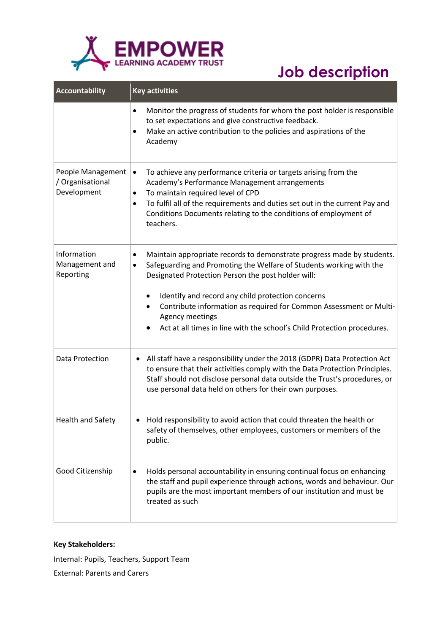

# **Job description**

| <b>Accountability</b>                                | <b>Key activities</b>                                                                                                                                                                                                                                                                                                                                                                                                                                       |
|------------------------------------------------------|-------------------------------------------------------------------------------------------------------------------------------------------------------------------------------------------------------------------------------------------------------------------------------------------------------------------------------------------------------------------------------------------------------------------------------------------------------------|
|                                                      | Monitor the progress of students for whom the post holder is responsible<br>$\bullet$<br>to set expectations and give constructive feedback.<br>Make an active contribution to the policies and aspirations of the<br>Academy                                                                                                                                                                                                                               |
| People Management<br>/ Organisational<br>Development | To achieve any performance criteria or targets arising from the<br>$\bullet$<br>Academy's Performance Management arrangements<br>To maintain required level of CPD<br>$\bullet$<br>To fulfil all of the requirements and duties set out in the current Pay and<br>$\bullet$<br>Conditions Documents relating to the conditions of employment of<br>teachers.                                                                                                |
| Information<br>Management and<br>Reporting           | Maintain appropriate records to demonstrate progress made by students.<br>$\bullet$<br>Safeguarding and Promoting the Welfare of Students working with the<br>$\bullet$<br>Designated Protection Person the post holder will:<br>Identify and record any child protection concerns<br>٠<br>Contribute information as required for Common Assessment or Multi-<br>Agency meetings<br>Act at all times in line with the school's Child Protection procedures. |
| Data Protection                                      | All staff have a responsibility under the 2018 (GDPR) Data Protection Act<br>٠<br>to ensure that their activities comply with the Data Protection Principles.<br>Staff should not disclose personal data outside the Trust's procedures, or<br>use personal data held on others for their own purposes.                                                                                                                                                     |
| <b>Health and Safety</b>                             | Hold responsibility to avoid action that could threaten the health or<br>safety of themselves, other employees, customers or members of the<br>public.                                                                                                                                                                                                                                                                                                      |
| Good Citizenship                                     | Holds personal accountability in ensuring continual focus on enhancing<br>$\bullet$<br>the staff and pupil experience through actions, words and behaviour. Our<br>pupils are the most important members of our institution and must be<br>treated as such                                                                                                                                                                                                  |

### **Key Stakeholders:**

Internal: Pupils, Teachers, Support Team External: Parents and Carers